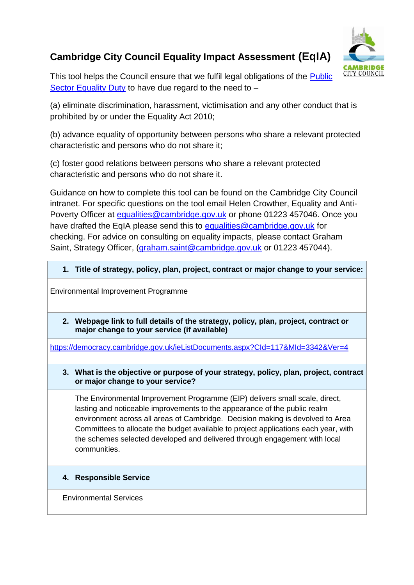# **Cambridge City Council Equality Impact Assessment (EqIA)**



This tool helps the Council ensure that we fulfil legal obligations of the **Public** [Sector Equality Duty](https://www.gov.uk/government/publications/public-sector-equality-duty) to have due regard to the need to -

(a) eliminate discrimination, harassment, victimisation and any other conduct that is prohibited by or under the Equality Act 2010;

(b) advance equality of opportunity between persons who share a relevant protected characteristic and persons who do not share it;

(c) foster good relations between persons who share a relevant protected characteristic and persons who do not share it.

Guidance on how to complete this tool can be found on the Cambridge City Council intranet. For specific questions on the tool email Helen Crowther, Equality and Anti-Poverty Officer at equalities @cambridge.gov.uk or phone 01223 457046. Once you have drafted the EqIA please send this to [equalities@cambridge.gov.uk](mailto:equalities@cambridge.gov.uk) for checking. For advice on consulting on equality impacts, please contact Graham Saint, Strategy Officer, [\(graham.saint@cambridge.gov.uk](mailto:graham.saint@cambridge.gov.uk) or 01223 457044).

## **1. Title of strategy, policy, plan, project, contract or major change to your service:**

Environmental Improvement Programme

**2. Webpage link to full details of the strategy, policy, plan, project, contract or major change to your service (if available)**

<https://democracy.cambridge.gov.uk/ieListDocuments.aspx?CId=117&MId=3342&Ver=4>

#### **3. What is the objective or purpose of your strategy, policy, plan, project, contract or major change to your service?**

The Environmental Improvement Programme (EIP) delivers small scale, direct, lasting and noticeable improvements to the appearance of the public realm environment across all areas of Cambridge. Decision making is devolved to Area Committees to allocate the budget available to project applications each year, with the schemes selected developed and delivered through engagement with local communities.

## **4. Responsible Service**

Environmental Services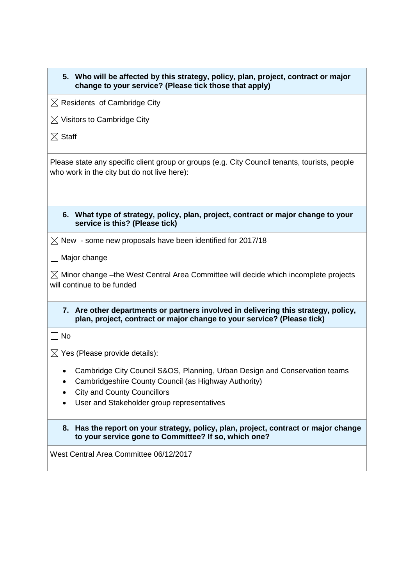| 5. Who will be affected by this strategy, policy, plan, project, contract or major<br>change to your service? (Please tick those that apply)                 |
|--------------------------------------------------------------------------------------------------------------------------------------------------------------|
| $\boxtimes$ Residents of Cambridge City                                                                                                                      |
| $\boxtimes$ Visitors to Cambridge City                                                                                                                       |
| $\boxtimes$ Staff                                                                                                                                            |
| Please state any specific client group or groups (e.g. City Council tenants, tourists, people<br>who work in the city but do not live here):                 |
| What type of strategy, policy, plan, project, contract or major change to your<br>6.<br>service is this? (Please tick)                                       |
| $\boxtimes$ New - some new proposals have been identified for 2017/18                                                                                        |
| $\Box$ Major change                                                                                                                                          |
| $\boxtimes$ Minor change –the West Central Area Committee will decide which incomplete projects<br>will continue to be funded                                |
| 7. Are other departments or partners involved in delivering this strategy, policy,<br>plan, project, contract or major change to your service? (Please tick) |
| $\Box$ No                                                                                                                                                    |
| $\boxtimes$ Yes (Please provide details):                                                                                                                    |
| Cambridge City Council S&OS, Planning, Urban Design and Conservation teams                                                                                   |
| Cambridgeshire County Council (as Highway Authority)<br><b>City and County Councillors</b>                                                                   |
| User and Stakeholder group representatives                                                                                                                   |
| Has the report on your strategy, policy, plan, project, contract or major change<br>8.<br>to your service gone to Committee? If so, which one?               |
| West Central Area Committee 06/12/2017                                                                                                                       |
|                                                                                                                                                              |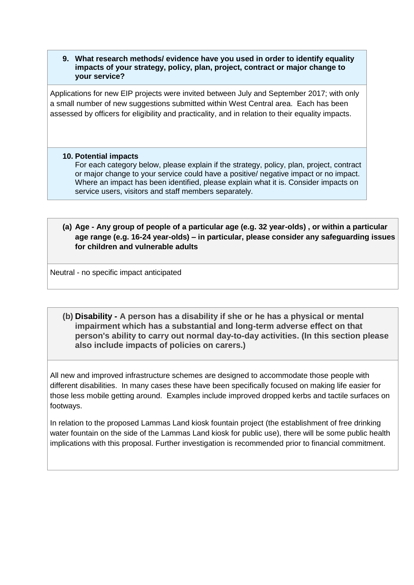**9. What research methods/ evidence have you used in order to identify equality impacts of your strategy, policy, plan, project, contract or major change to your service?**

Applications for new EIP projects were invited between July and September 2017; with only a small number of new suggestions submitted within West Central area. Each has been assessed by officers for eligibility and practicality, and in relation to their equality impacts.

#### **10. Potential impacts**

For each category below, please explain if the strategy, policy, plan, project, contract or major change to your service could have a positive/ negative impact or no impact. Where an impact has been identified, please explain what it is. Consider impacts on service users, visitors and staff members separately.

## **(a) Age - Any group of people of a particular age (e.g. 32 year-olds) , or within a particular age range (e.g. 16-24 year-olds) – in particular, please consider any safeguarding issues for children and vulnerable adults**

Neutral - no specific impact anticipated

**(b) Disability - A person has a disability if she or he has a physical or mental impairment which has a substantial and long-term adverse effect on that person's ability to carry out normal day-to-day activities. (In this section please also include impacts of policies on carers.)**

All new and improved infrastructure schemes are designed to accommodate those people with different disabilities. In many cases these have been specifically focused on making life easier for those less mobile getting around. Examples include improved dropped kerbs and tactile surfaces on footways.

In relation to the proposed Lammas Land kiosk fountain project (the establishment of free drinking water fountain on the side of the Lammas Land kiosk for public use), there will be some public health implications with this proposal. Further investigation is recommended prior to financial commitment.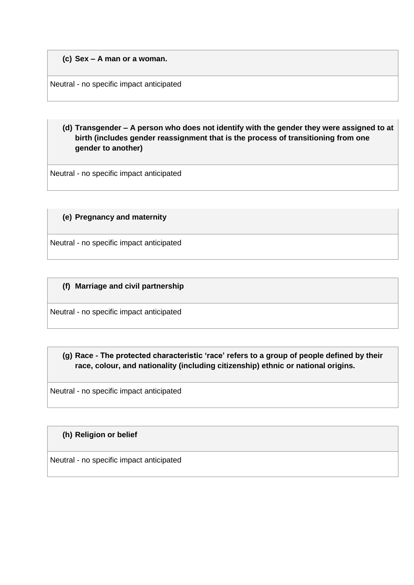#### **(c) Sex – A man or a woman.**

Neutral - no specific impact anticipated

**(d) Transgender – A person who does not identify with the gender they were assigned to at birth (includes gender reassignment that is the process of transitioning from one gender to another)**

Neutral - no specific impact anticipated

## **(e) Pregnancy and maternity**

Neutral - no specific impact anticipated

#### **(f) Marriage and civil partnership**

Neutral - no specific impact anticipated

**(g) Race - The protected characteristic 'race' refers to a group of people defined by their race, colour, and nationality (including citizenship) ethnic or national origins.**

Neutral - no specific impact anticipated

#### **(h) Religion or belief**

Neutral - no specific impact anticipated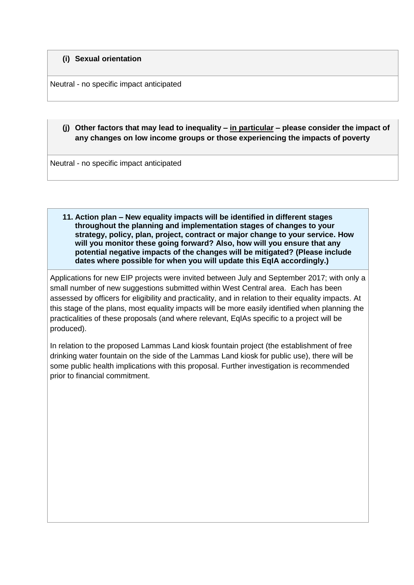#### **(i) Sexual orientation**

Neutral - no specific impact anticipated

## **(j) Other factors that may lead to inequality – in particular – please consider the impact of any changes on low income groups or those experiencing the impacts of poverty**

Neutral - no specific impact anticipated

**11. Action plan – New equality impacts will be identified in different stages throughout the planning and implementation stages of changes to your strategy, policy, plan, project, contract or major change to your service. How will you monitor these going forward? Also, how will you ensure that any potential negative impacts of the changes will be mitigated? (Please include dates where possible for when you will update this EqIA accordingly.)**

Applications for new EIP projects were invited between July and September 2017; with only a small number of new suggestions submitted within West Central area. Each has been assessed by officers for eligibility and practicality, and in relation to their equality impacts. At this stage of the plans, most equality impacts will be more easily identified when planning the practicalities of these proposals (and where relevant, EqIAs specific to a project will be produced).

In relation to the proposed Lammas Land kiosk fountain project (the establishment of free drinking water fountain on the side of the Lammas Land kiosk for public use), there will be some public health implications with this proposal. Further investigation is recommended prior to financial commitment.